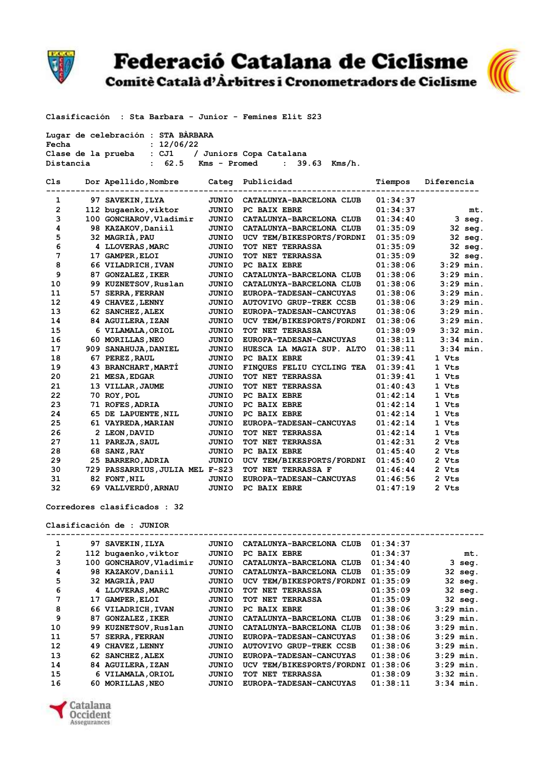

Federació Catalana de Ciclisme

Comitè Català d'Àrbitres i Cronometradors de Ciclisme



| Lugar de celebración : STA BARBARA |                                    |  |
|------------------------------------|------------------------------------|--|
| Fecha                              | : 12/06/22                         |  |
| Clase de la prueba                 | : CJ1 / Juniors Copa Catalana      |  |
| Distancia                          | : 62.5 Kms - Promed : 39.63 Kms/h. |  |

| Cls |    | Dor Apellido, Nombre            | Categ        | Publicidad                     | Tiempos  | Diferencia  |
|-----|----|---------------------------------|--------------|--------------------------------|----------|-------------|
| 1   |    | 97 SAVEKIN, ILYA                | JUNIO        | CATALUNYA-BARCELONA CLUB       | 01:34:37 |             |
| 2   |    | 112 bugaenko, viktor            | JUNIO        | PC BAIX EBRE                   | 01:34:37 | mt.         |
| 3   |    | 100 GONCHAROV, Vladimir         | <b>JUNIO</b> | CATALUNYA-BARCELONA CLUB       | 01:34:40 | 3 seg.      |
| 4   |    | 98 KAZAKOV, Daniil              | <b>JUNIO</b> | CATALUNYA-BARCELONA CLUB       | 01:35:09 | 32 seg.     |
| 5   |    | 32 MAGRIA, PAU                  | JUNIO        | UCV TEM/BIKESPORTS/FORDNI      | 01:35:09 | 32 seg.     |
| 6   |    | 4 LLOVERAS, MARC                | JUNIO        | TOT NET TERRASSA               | 01:35:09 | 32 seg.     |
| 7   |    | 17 GAMPER, ELOI                 | JUNIO        | TOT NET TERRASSA               | 01:35:09 | 32 seg.     |
| 8   |    | 66 VILADRICH, IVAN              | JUNIO        | PC BAIX EBRE                   | 01:38:06 | $3:29$ min. |
| 9   | 87 | <b>GONZALEZ, IKER</b>           | JUNIO        | CATALUNYA-BARCELONA CLUB       | 01:38:06 | $3:29$ min. |
| 10  |    | 99 KUZNETSOV, Ruslan            | JUNIO        | CATALUNYA-BARCELONA CLUB       | 01:38:06 | $3:29$ min. |
| 11  | 57 | <b>SERRA, FERRAN</b>            | JUNIO        | EUROPA-TADESAN-CANCUYAS        | 01:38:06 | $3:29$ min. |
| 12  |    | 49 CHAVEZ, LENNY                | <b>JUNIO</b> | <b>AUTOVIVO GRUP-TREK CCSB</b> | 01:38:06 | $3:29$ min. |
| 13  |    | 62 SANCHEZ, ALEX                | JUNIO        | EUROPA-TADESAN-CANCUYAS        | 01:38:06 | $3:29$ min. |
| 14  |    | 84 AGUILERA, IZAN               | JUNIO        | UCV TEM/BIKESPORTS/FORDNI      | 01:38:06 | $3:29$ min. |
| 15  |    | 6 VILAMALA, ORIOL               | JUNIO        | TOT NET TERRASSA               | 01:38:09 | $3:32$ min. |
| 16  |    | 60 MORILLAS, NEO                | JUNIO        | EUROPA-TADESAN-CANCUYAS        | 01:38:11 | $3:34$ min. |
| 17  |    | 909 SANAHUJA, DANIEL            | JUNIO        | HUESCA LA MAGIA SUP. ALTO      | 01:38:11 | $3:34$ min. |
| 18  |    | 67 PEREZ, RAUL                  | JUNIO        | PC BAIX EBRE                   | 01:39:41 | 1 Vts       |
| 19  |    | 43 BRANCHART, MARTI             | JUNIO        | FINQUES FELIU CYCLING TEA      | 01:39:41 | 1 Vts       |
| 20  |    | 21 MESA, EDGAR                  | <b>JUNIO</b> | TOT NET TERRASSA               | 01:39:41 | 1 Vts       |
| 21  |    | 13 VILLAR, JAUME                | JUNIO        | TOT NET TERRASSA               | 01:40:43 | 1 Vts       |
| 22  |    | 70 ROY, POL                     | JUNIO        | PC BAIX EBRE                   | 01:42:14 | 1 Vts       |
| 23  |    | 71 ROFES, ADRIA                 | JUNIO        | PC BAIX EBRE                   | 01:42:14 | 1 Vts       |
| 24  |    | 65 DE LAPUENTE, NIL             | JUNIO        | PC BAIX EBRE                   | 01:42:14 | 1 Vts       |
| 25  |    | 61 VAYREDA, MARIAN              | <b>JUNIO</b> | EUROPA-TADESAN-CANCUYAS        | 01:42:14 | 1 Vts       |
| 26  |    | 2 LEON, DAVID                   | <b>JUNIO</b> | TOT NET TERRASSA               | 01:42:14 | 1 Vts       |
| 27  |    | 11 PAREJA, SAUL                 | <b>JUNIO</b> | TOT NET TERRASSA               | 01:42:31 | 2 Vts       |
| 28  | 68 | <b>SANZ, RAY</b>                | JUNIO        | PC BAIX EBRE                   | 01:45:40 | 2 Vts       |
| 29  |    | 25 BARRERO, ADRIA               | <b>JUNIO</b> | UCV TEM/BIKESPORTS/FORDNI      | 01:45:40 | 2 Vts       |
| 30  |    | 729 PASSARRIUS, JULIA MEL F-S23 |              | TOT NET TERRASSA F             | 01:46:44 | 2 Vts       |
| 31  |    | 82 FONT, NIL                    | <b>JUNIO</b> | EUROPA-TADESAN-CANCUYAS        | 01:46:56 | 2 Vts       |
| 32  |    | 69 VALLVERDÚ, ARNAU             | <b>JUNIO</b> | PC BAIX EBRE                   | 01:47:19 | 2 Vts       |

**Corredores clasificados : 32**

**Clasificación de : JUNIOR**

| 1  | 97  | <b>SAVEKIN, ILYA</b>  | JUNIO | CATALUNYA-BARCELONA CLUB       | 01:34:37 |             |
|----|-----|-----------------------|-------|--------------------------------|----------|-------------|
| 2  |     | 112 bugaenko, viktor  | JUNIO | PC BAIX EBRE                   | 01:34:37 | mt.         |
| 3  | 100 | GONCHAROV, Vladimir   | JUNIO | CATALUNYA-BARCELONA CLUB       | 01:34:40 | 3<br>seq.   |
| 4  |     | 98 KAZAKOV, Daniil    | JUNIO | CATALUNYA-BARCELONA CLUB       | 01:35:09 | 32 seg.     |
| 5  |     | 32 MAGRIA, PAU        | JUNIO | UCV TEM/BIKESPORTS/FORDNI      | 01:35:09 | 32 seg.     |
| 6  |     | 4 LLOVERAS, MARC      | JUNIO | NET<br>TERRASSA<br>TOT         | 01:35:09 | 32 seg.     |
| 7  | 17  | <b>GAMPER, ELOI</b>   | JUNIO | TOT NET TERRASSA               | 01:35:09 | 32 seg.     |
| 8  |     | 66 VILADRICH, IVAN    | JUNIO | PC BAIX EBRE                   | 01:38:06 | $3:29$ min. |
| 9  | 87  | <b>GONZALEZ, IKER</b> | JUNIO | CATALUNYA-BARCELONA CLUB       | 01:38:06 | $3:29$ min. |
| 10 | 99  | KUZNETSOV, Ruslan     | JUNIO | CATALUNYA-BARCELONA CLUB       | 01:38:06 | $3:29$ min. |
| 11 | 57  | <b>SERRA, FERRAN</b>  | JUNIO | EUROPA-TADESAN-CANCUYAS        | 01:38:06 | $3:29$ min. |
| 12 | 49  | <b>CHAVEZ, LENNY</b>  | JUNIO | <b>AUTOVIVO GRUP-TREK CCSB</b> | 01:38:06 | $3:29$ min. |
| 13 | 62. | <b>SANCHEZ, ALEX</b>  | JUNIO | EUROPA-TADESAN-CANCUYAS        | 01:38:06 | $3:29$ min. |
| 14 |     | 84 AGUILERA, IZAN     | JUNIO | UCV TEM/BIKESPORTS/FORDNI      | 01:38:06 | $3:29$ min. |
| 15 |     | 6 VILAMALA, ORIOL     | JUNIO | <b>TERRASSA</b><br>NET<br>TOT  | 01:38:09 | $3:32$ min. |
| 16 | 60. | <b>MORILLAS, NEO</b>  | JUNIO | <b>EUROPA-TADESAN-CANCUYAS</b> | 01:38:11 | $3:34$ min. |